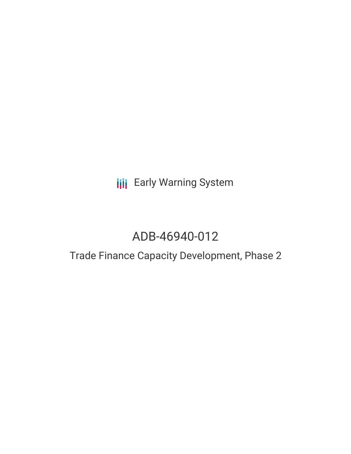**III** Early Warning System

# ADB-46940-012

## Trade Finance Capacity Development, Phase 2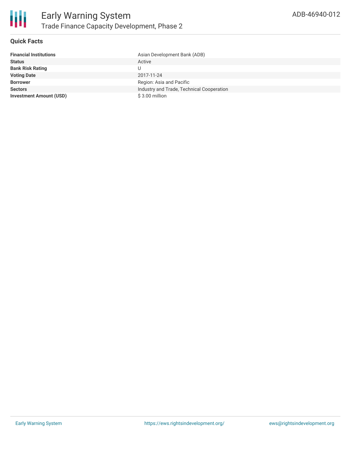

#### **Quick Facts**

| <b>Financial Institutions</b>  | Asian Development Bank (ADB)              |
|--------------------------------|-------------------------------------------|
| <b>Status</b>                  | Active                                    |
| <b>Bank Risk Rating</b>        |                                           |
| <b>Voting Date</b>             | 2017-11-24                                |
| <b>Borrower</b>                | Region: Asia and Pacific                  |
| <b>Sectors</b>                 | Industry and Trade, Technical Cooperation |
| <b>Investment Amount (USD)</b> | \$3.00 million                            |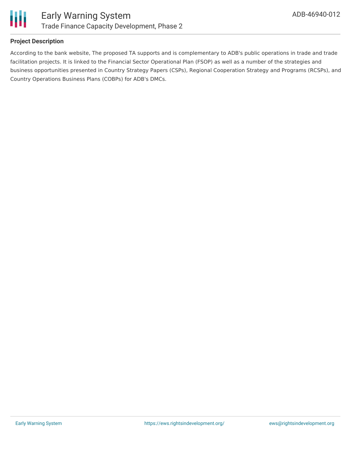

#### **Project Description**

According to the bank website, The proposed TA supports and is complementary to ADB's public operations in trade and trade facilitation projects. It is linked to the Financial Sector Operational Plan (FSOP) as well as a number of the strategies and business opportunities presented in Country Strategy Papers (CSPs), Regional Cooperation Strategy and Programs (RCSPs), and Country Operations Business Plans (COBPs) for ADB's DMCs.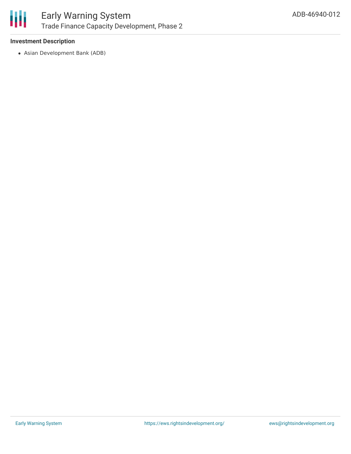

#### **Investment Description**

Asian Development Bank (ADB)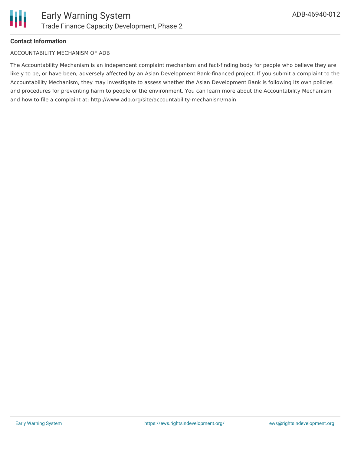

#### **Contact Information**

#### ACCOUNTABILITY MECHANISM OF ADB

The Accountability Mechanism is an independent complaint mechanism and fact-finding body for people who believe they are likely to be, or have been, adversely affected by an Asian Development Bank-financed project. If you submit a complaint to the Accountability Mechanism, they may investigate to assess whether the Asian Development Bank is following its own policies and procedures for preventing harm to people or the environment. You can learn more about the Accountability Mechanism and how to file a complaint at: http://www.adb.org/site/accountability-mechanism/main